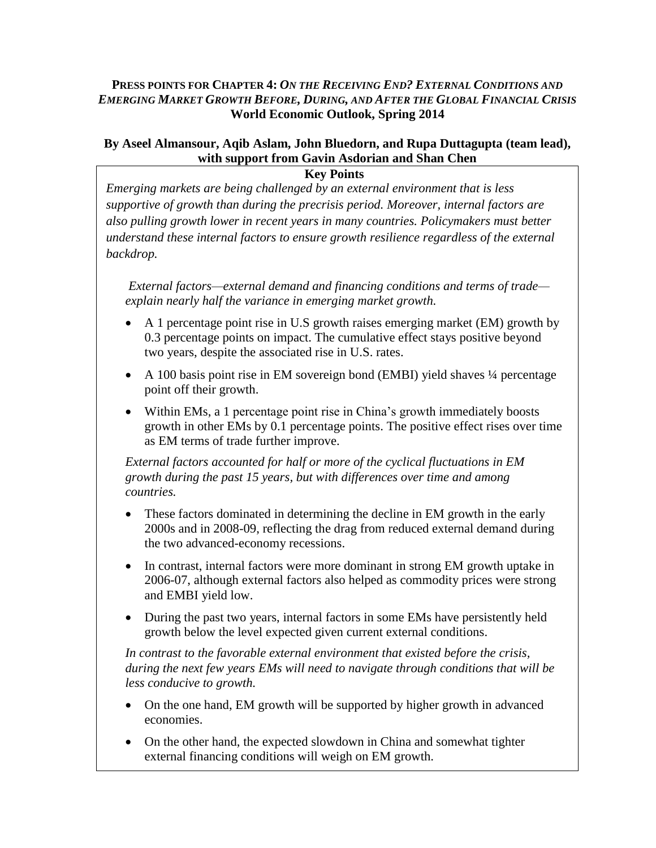## **PRESS POINTS FOR CHAPTER 4:** *ON THE RECEIVING END? EXTERNAL CONDITIONS AND EMERGING MARKET GROWTH BEFORE, DURING, AND AFTER THE GLOBAL FINANCIAL CRISIS*  **World Economic Outlook, Spring 2014**

# **By Aseel Almansour, Aqib Aslam, John Bluedorn, and Rupa Duttagupta (team lead), with support from Gavin Asdorian and Shan Chen**

**Key Points**

*Emerging markets are being challenged by an external environment that is less supportive of growth than during the precrisis period. Moreover, internal factors are also pulling growth lower in recent years in many countries. Policymakers must better understand these internal factors to ensure growth resilience regardless of the external backdrop.*

*External factors—external demand and financing conditions and terms of trade explain nearly half the variance in emerging market growth.*

- A 1 percentage point rise in U.S growth raises emerging market (EM) growth by 0.3 percentage points on impact. The cumulative effect stays positive beyond two years, despite the associated rise in U.S. rates.
- A 100 basis point rise in EM sovereign bond (EMBI) yield shaves 1/4 percentage point off their growth.
- Within EMs, a 1 percentage point rise in China's growth immediately boosts growth in other EMs by 0.1 percentage points. The positive effect rises over time as EM terms of trade further improve.

*External factors accounted for half or more of the cyclical fluctuations in EM growth during the past 15 years, but with differences over time and among countries.*

- These factors dominated in determining the decline in EM growth in the early 2000s and in 2008-09, reflecting the drag from reduced external demand during the two advanced-economy recessions.
- In contrast, internal factors were more dominant in strong EM growth uptake in 2006-07, although external factors also helped as commodity prices were strong and EMBI yield low.
- During the past two years, internal factors in some EMs have persistently held growth below the level expected given current external conditions.

*In contrast to the favorable external environment that existed before the crisis, during the next few years EMs will need to navigate through conditions that will be less conducive to growth.* 

- On the one hand, EM growth will be supported by higher growth in advanced economies.
- On the other hand, the expected slowdown in China and somewhat tighter external financing conditions will weigh on EM growth.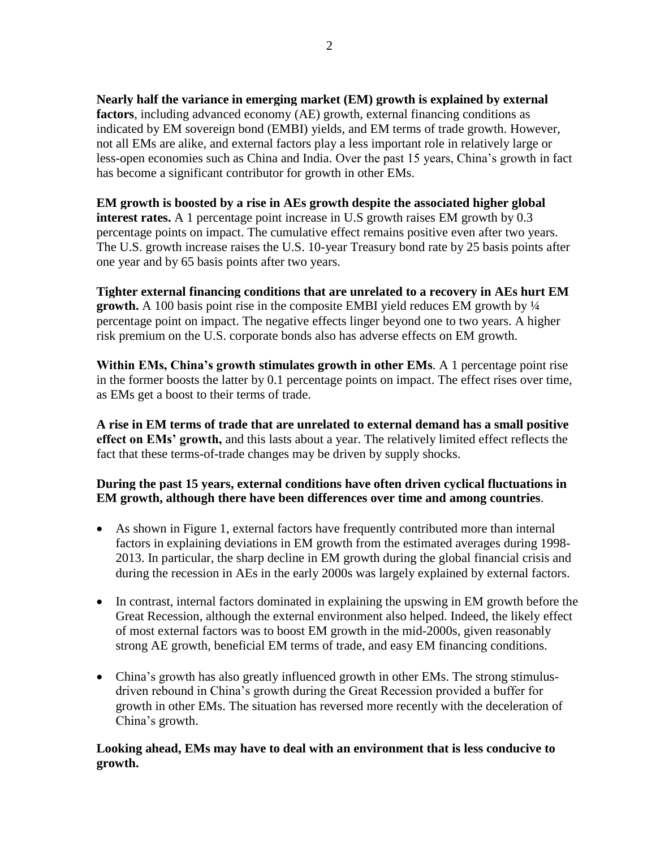**Nearly half the variance in emerging market (EM) growth is explained by external factors**, including advanced economy (AE) growth, external financing conditions as indicated by EM sovereign bond (EMBI) yields, and EM terms of trade growth. However, not all EMs are alike, and external factors play a less important role in relatively large or less-open economies such as China and India. Over the past 15 years, China's growth in fact has become a significant contributor for growth in other EMs.

**EM growth is boosted by a rise in AEs growth despite the associated higher global interest rates.** A 1 percentage point increase in U.S growth raises EM growth by 0.3 percentage points on impact. The cumulative effect remains positive even after two years. The U.S. growth increase raises the U.S. 10-year Treasury bond rate by 25 basis points after one year and by 65 basis points after two years.

**Tighter external financing conditions that are unrelated to a recovery in AEs hurt EM growth.** A 100 basis point rise in the composite EMBI yield reduces EM growth by ¼ percentage point on impact. The negative effects linger beyond one to two years. A higher risk premium on the U.S. corporate bonds also has adverse effects on EM growth.

**Within EMs, China's growth stimulates growth in other EMs**. A 1 percentage point rise in the former boosts the latter by 0.1 percentage points on impact. The effect rises over time, as EMs get a boost to their terms of trade.

**A rise in EM terms of trade that are unrelated to external demand has a small positive effect on EMs' growth,** and this lasts about a year. The relatively limited effect reflects the fact that these terms-of-trade changes may be driven by supply shocks.

#### **During the past 15 years, external conditions have often driven cyclical fluctuations in EM growth, although there have been differences over time and among countries**.

- As shown in Figure 1, external factors have frequently contributed more than internal factors in explaining deviations in EM growth from the estimated averages during 1998- 2013. In particular, the sharp decline in EM growth during the global financial crisis and during the recession in AEs in the early 2000s was largely explained by external factors.
- In contrast, internal factors dominated in explaining the upswing in EM growth before the Great Recession, although the external environment also helped. Indeed, the likely effect of most external factors was to boost EM growth in the mid-2000s, given reasonably strong AE growth, beneficial EM terms of trade, and easy EM financing conditions.
- China's growth has also greatly influenced growth in other EMs. The strong stimulusdriven rebound in China's growth during the Great Recession provided a buffer for growth in other EMs. The situation has reversed more recently with the deceleration of China's growth.

## **Looking ahead, EMs may have to deal with an environment that is less conducive to growth.**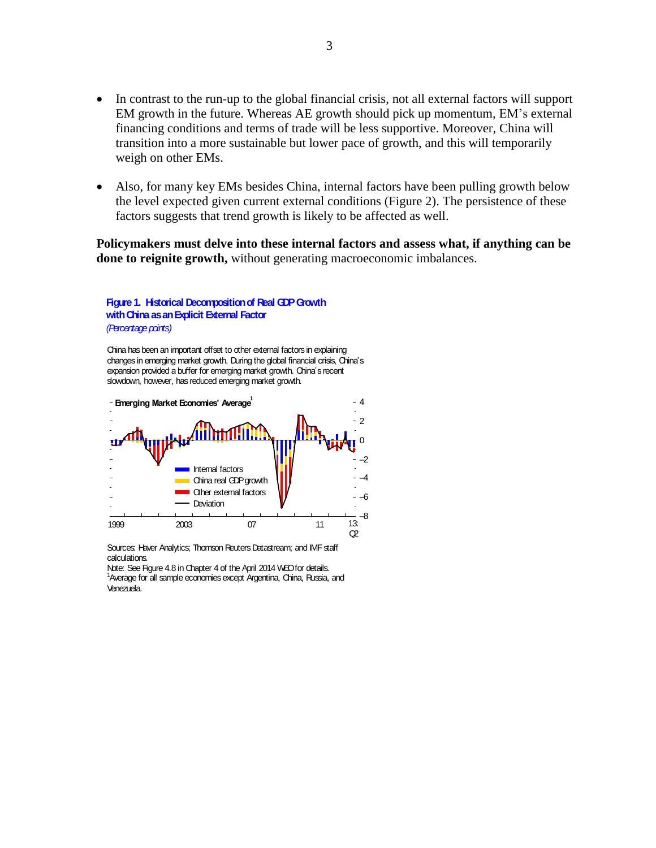- In contrast to the run-up to the global financial crisis, not all external factors will support EM growth in the future. Whereas AE growth should pick up momentum, EM's external financing conditions and terms of trade will be less supportive. Moreover, China will transition into a more sustainable but lower pace of growth, and this will temporarily weigh on other EMs.
- Also, for many key EMs besides China, internal factors have been pulling growth below the level expected given current external conditions (Figure 2). The persistence of these factors suggests that trend growth is likely to be affected as well.

**Policymakers must delve into these internal factors and assess what, if anything can be done to reignite growth,** without generating macroeconomic imbalances.

#### **Figure 1. Historical Decomposition of Real GDP Growth with China as an Explicit External Factor** *(Percentage points)*

China has been an important offset to other external factors in explaining changes in emerging market growth. During the global financial crisis, China's expansion provided a buffer for emerging market growth. China's recent slowdown, however, has reduced emerging market growth.



Sources: Haver Analytics; Thomson Reuters Datastream; and IMF staff calculations.

Note: See Figure 4.8 in Chapter 4 of the April 2014 WEO for details. <sup>1</sup>Average for all sample economies except Argentina, China, Russia, and Venezuela.